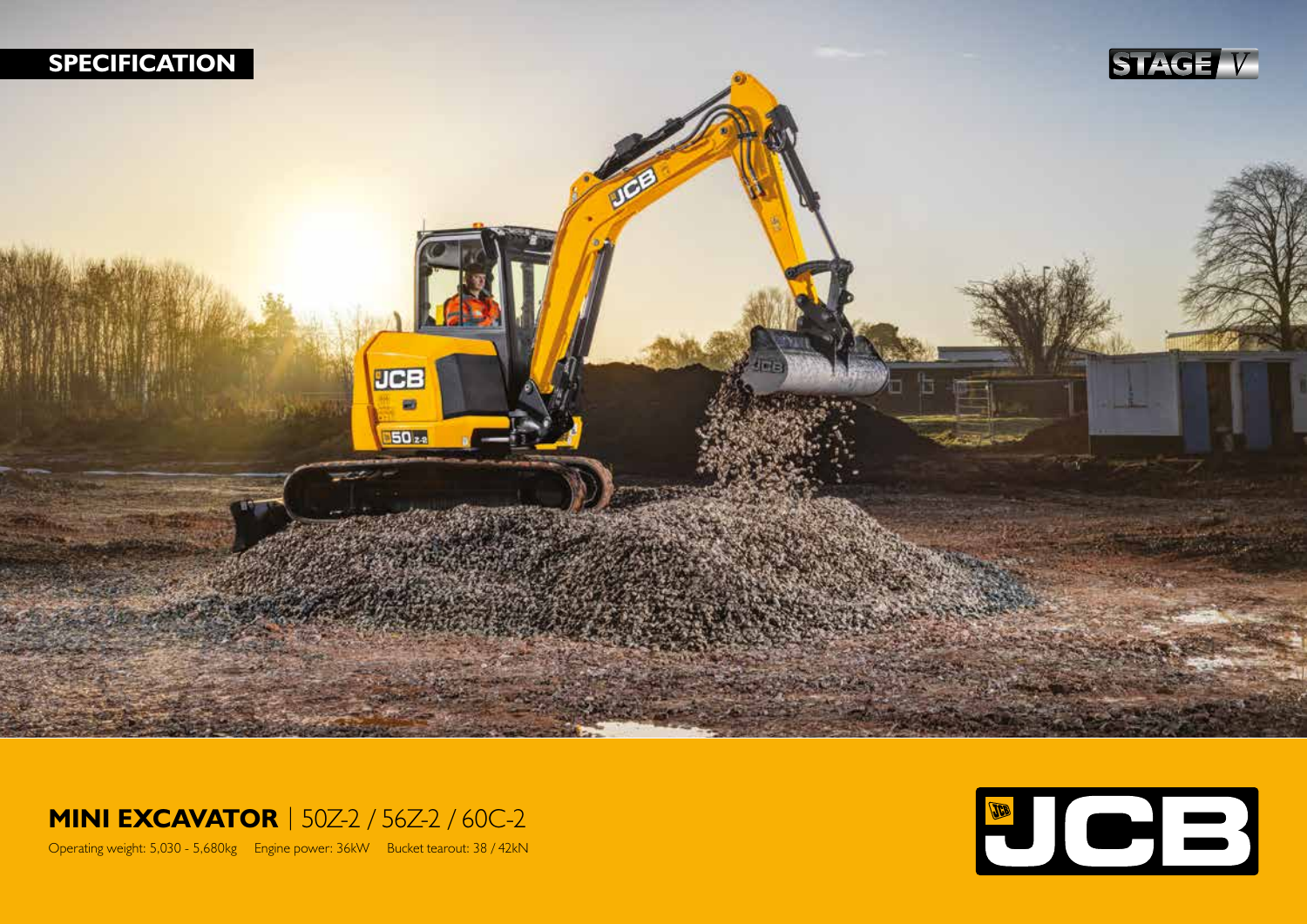

## **MINI EXCAVATOR** | 50Z-2 / 56Z-2 / 60C-2

Operating weight: 5,030 - 5,680kg Engine power: 36kW Bucket tearout: 38 / 42kN

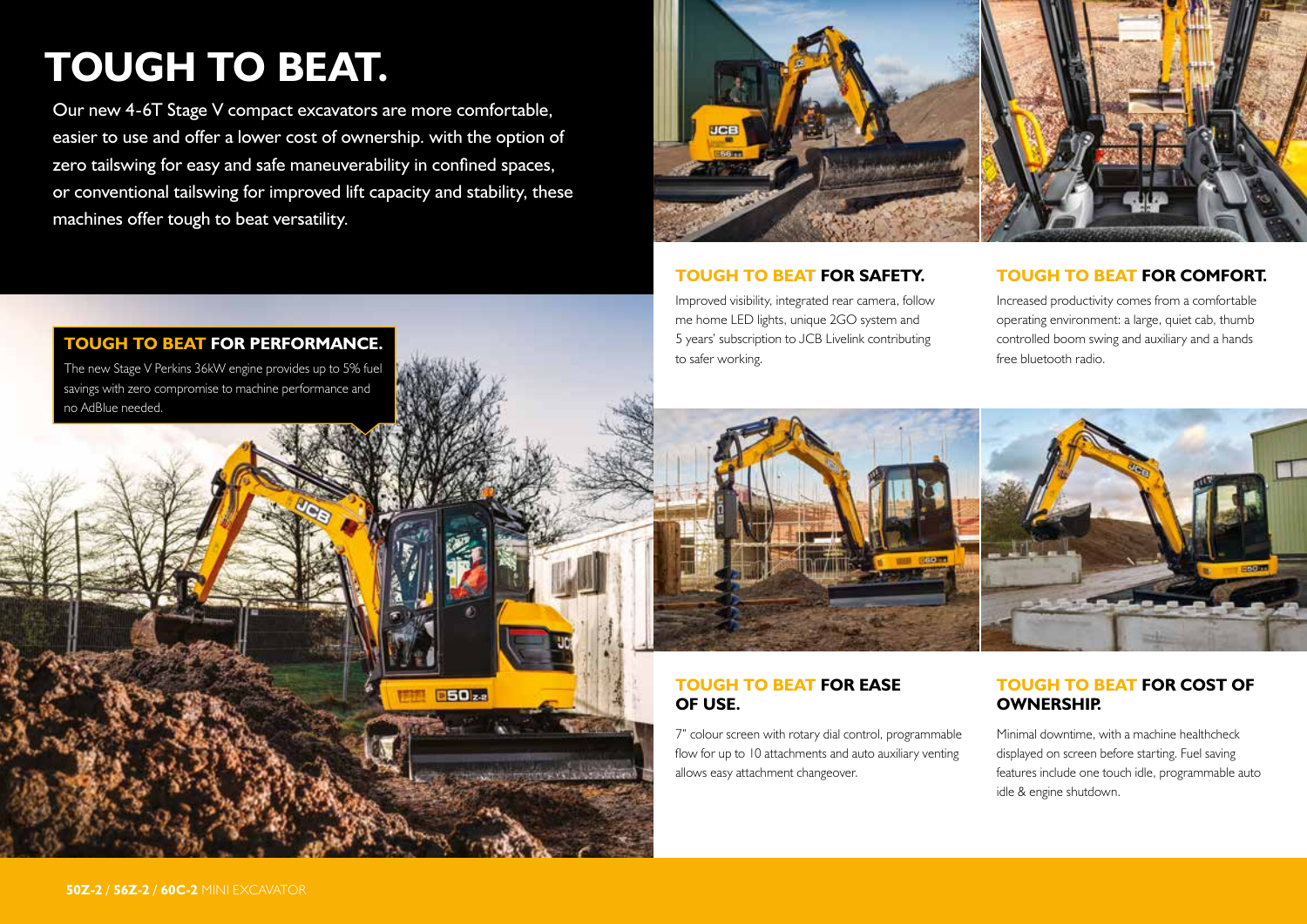# **TOUGH TO BEAT.**

Our new 4-6T Stage V compact excavators are more comfortable, easier to use and offer a lower cost of ownership. with the option of zero tailswing for easy and safe maneuverability in confined spaces, or conventional tailswing for improved lift capacity and stability, these machines offer tough to beat versatility.

**B5022** 



#### **TOUGH TO BEAT FOR SAFETY.**

Improved visibility, integrated rear camera, follow me home LED lights, unique 2GO system and 5 years' subscription to JCB Livelink contributing to safer working.

#### **TOUGH TO BEAT FOR COMFORT.**

Increased productivity comes from a comfortable operating environment: a large, quiet cab, thumb controlled boom swing and auxiliary and a hands free bluetooth radio.



#### **TOUGH TO BEAT FOR EASE OF USE.**

7" colour screen with rotary dial control, programmable flow for up to 10 attachments and auto auxiliary venting allows easy attachment changeover.

#### **TOUGH TO BEAT FOR COST OF OWNERSHIP.**

Minimal downtime, with a machine healthcheck displayed on screen before starting. Fuel saving features include one touch idle, programmable auto idle & engine shutdown.

#### **TOUGH TO BEAT FOR PERFORMANCE.**

The new Stage V Perkins 36kW engine provides up to 5% fuel savings with zero compromise to machine performance and no AdBlue needed.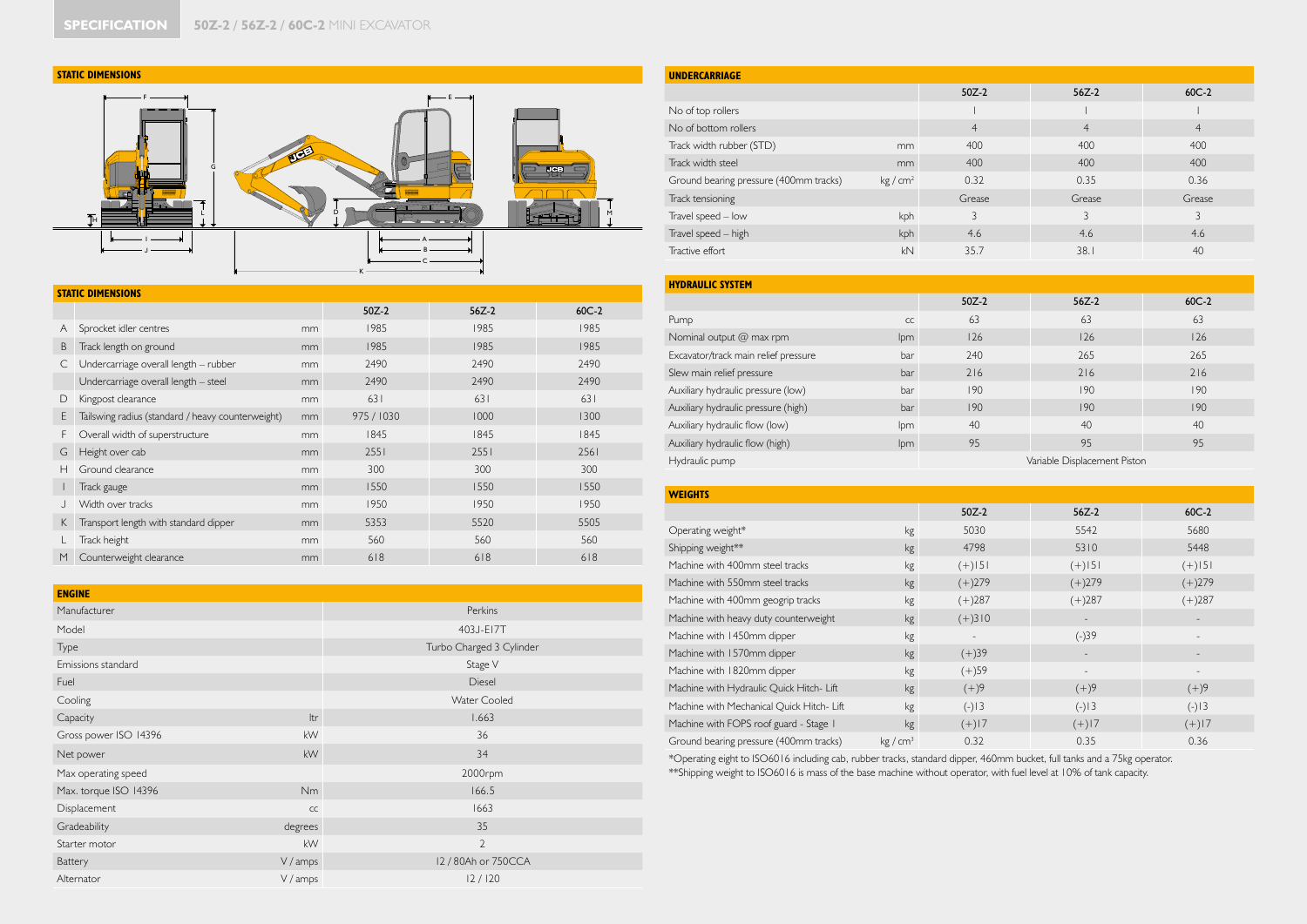#### **STATIC DIMENSIONS**



|    | <b>STATIC DIMENSIONS</b>                          |    |            |         |         |
|----|---------------------------------------------------|----|------------|---------|---------|
|    |                                                   |    | $50Z-2$    | $56Z-2$ | $60C-2$ |
| A  | Sprocket idler centres                            | mm | 1985       | 1985    | 1985    |
| B  | Track length on ground                            | mm | 1985       | 1985    | 1985    |
| C  | Undercarriage overall length - rubber             | mm | 2490       | 2490    | 2490    |
|    | Undercarriage overall length - steel              | mm | 2490       | 2490    | 2490    |
| D  | Kingpost clearance                                | mm | 631        | 631     | 631     |
| E  | Tailswing radius (standard / heavy counterweight) | mm | 975 / 1030 | 1000    | 1300    |
| F  | Overall width of superstructure                   | mm | 1845       | 1845    | 1845    |
| G  | Height over cab                                   | mm | 2551       | 2551    | 2561    |
| Н  | Ground clearance                                  | mm | 300        | 300     | 300     |
|    | Track gauge                                       | mm | 1550       | 1550    | 1550    |
|    | Width over tracks                                 | mm | 1950       | 1950    | 1950    |
| K. | Transport length with standard dipper             | mm | 5353       | 5520    | 5505    |
|    | Track height                                      | mm | 560        | 560     | 560     |
| M  | Counterweight clearance                           | mm | 618        | 618     | 618     |

| <b>ENGINE</b>         |           |                          |
|-----------------------|-----------|--------------------------|
| Manufacturer          |           | Perkins                  |
| Model                 |           | 403J-E17T                |
| Type                  |           | Turbo Charged 3 Cylinder |
| Emissions standard    |           | Stage V                  |
| Fuel                  |           | Diesel                   |
| Cooling               |           | <b>Water Cooled</b>      |
| Capacity              | Itr       | 1.663                    |
| Gross power ISO 14396 | kW        | 36                       |
| Net power             | kW        | 34                       |
| Max operating speed   |           | 2000rpm                  |
| Max. torque ISO 14396 | <b>Nm</b> | 166.5                    |
| Displacement          | CC        | 1663                     |
| Gradeability          | degrees   | 35                       |
| Starter motor         | kW        | $\overline{2}$           |
| Battery               | V / amps  | 12 / 80Ah or 750CCA      |
| Alternator            | V / amps  | 12/120                   |

| <b>UNDERCARRIAGE</b>                   |                    |                |                |                |
|----------------------------------------|--------------------|----------------|----------------|----------------|
|                                        |                    | $50Z-2$        | $56Z-2$        | $60C-2$        |
| No of top rollers                      |                    |                |                |                |
| No of bottom rollers                   |                    | $\overline{4}$ | $\overline{4}$ | $\overline{4}$ |
| Track width rubber (STD)               | mm                 | 400            | 400            | 400            |
| Track width steel                      | mm                 | 400            | 400            | 400            |
| Ground bearing pressure (400mm tracks) | kg/cm <sup>2</sup> | 0.32           | 0.35           | 0.36           |
| Track tensioning                       |                    | Grease         | Grease         | Grease         |
| Travel speed - low                     | kph                | 3              | 3              | 3              |
| Travel speed - high                    | kph                | 4.6            | 4.6            | 4.6            |
| Tractive effort                        | kN                 | 35.7           | 38.1           | 40             |

| <b>HYDRAULIC SYSTEM</b>              |     |         |                              |         |
|--------------------------------------|-----|---------|------------------------------|---------|
|                                      |     | $50Z-2$ | $56Z-2$                      | $60C-2$ |
| Pump                                 | CC  | 63      | 63                           | 63      |
| Nominal output @ max rpm             | lpm | 126     | 126                          | 126     |
| Excavator/track main relief pressure | bar | 240     | 265                          | 265     |
| Slew main relief pressure            | bar | 216     | 216                          | 216     |
| Auxiliary hydraulic pressure (low)   | bar | 190     | 190                          | 190     |
| Auxiliary hydraulic pressure (high)  | bar | 190     | 190                          | 190     |
| Auxiliary hydraulic flow (low)       | lpm | 40      | 40                           | 40      |
| Auxiliary hydraulic flow (high)      | lpm | 95      | 95                           | 95      |
| Hydraulic pump                       |     |         | Variable Displacement Piston |         |

| <b>WEIGHTS</b>                            |                    |           |                          |                          |
|-------------------------------------------|--------------------|-----------|--------------------------|--------------------------|
|                                           |                    | $50Z-2$   | $56Z-2$                  | $60C-2$                  |
| Operating weight*                         | kg                 | 5030      | 5542                     | 5680                     |
| Shipping weight**                         | kg                 | 4798      | 5310                     | 5448                     |
| Machine with 400mm steel tracks           | kg                 | $(+)$   5 | $(+)$   5                | $(+)$   5                |
| Machine with 550mm steel tracks           | kg                 | $(+)279$  | $(+)279$                 | $(+)279$                 |
| Machine with 400mm geogrip tracks         | kg                 | $(+)287$  | $(+)287$                 | $(+)287$                 |
| Machine with heavy duty counterweight     | kg                 | $(+)310$  | $\overline{\phantom{a}}$ | $\overline{\phantom{a}}$ |
| Machine with 1450mm dipper                | kg                 |           | $(-)39$                  | $\overline{\phantom{a}}$ |
| Machine with 1570mm dipper                | kg                 | $(+)39$   | $\overline{\phantom{a}}$ |                          |
| Machine with 1820mm dipper                | kg                 | $(+)59$   |                          |                          |
| Machine with Hydraulic Quick Hitch- Lift  | kg                 | $(+)9$    | $(+)9$                   | $(+)9$                   |
| Machine with Mechanical Quick Hitch- Lift | kg                 | $(-)13$   | $(-)13$                  | $(-)13$                  |
| Machine with FOPS roof guard - Stage I    | kg                 | $(+)17$   | $(+)17$                  | $(+)17$                  |
| Ground bearing pressure (400mm tracks)    | kg/cm <sup>3</sup> | 0.32      | 0.35                     | 0.36                     |

\*Operating eight to ISO6016 including cab, rubber tracks, standard dipper, 460mm bucket, full tanks and a 75kg operator. \*\*Shipping weight to ISO6016 is mass of the base machine without operator, with fuel level at 10% of tank capacity.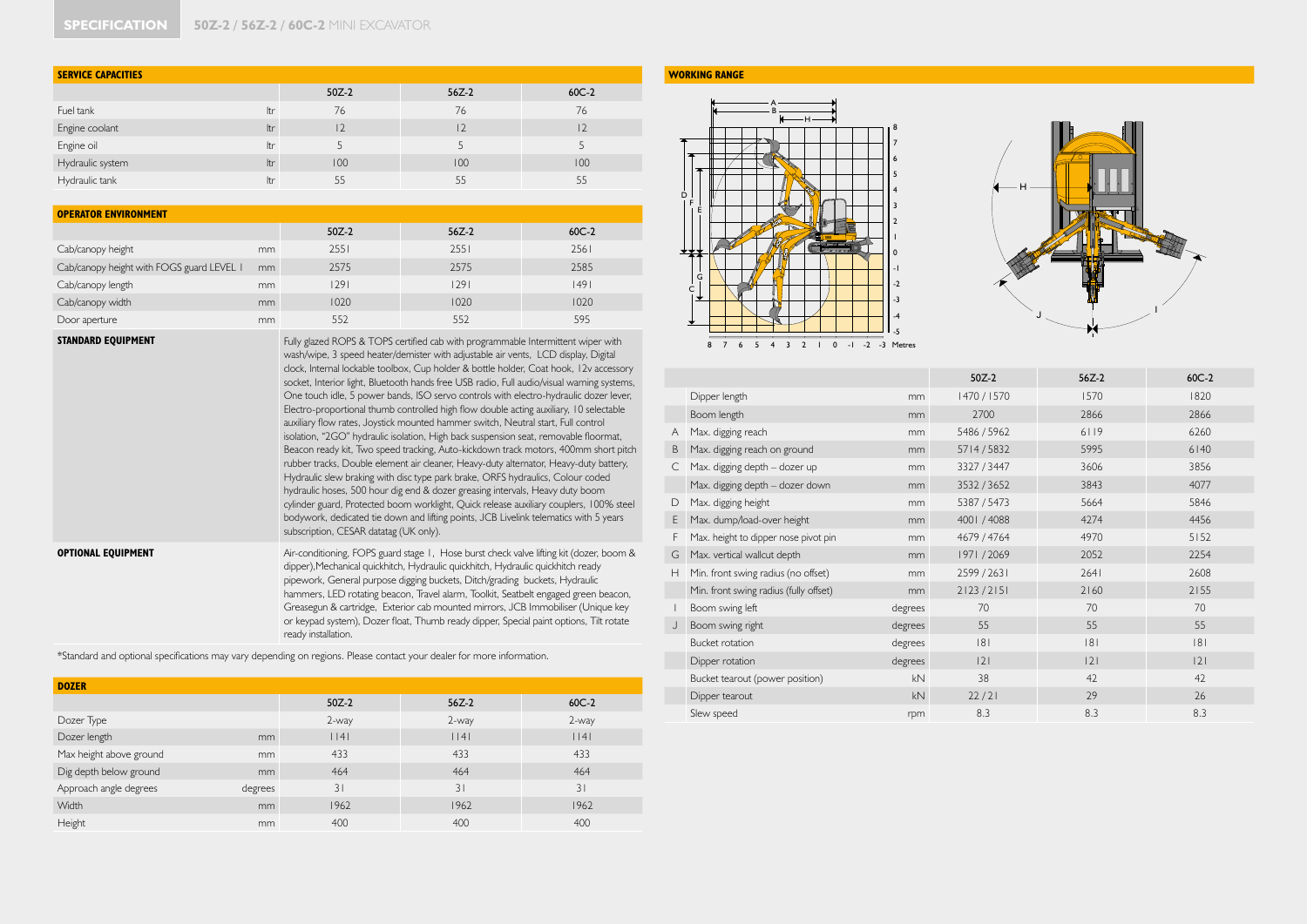| <b>SERVICE CAPACITIES</b> |     |         |         |         |
|---------------------------|-----|---------|---------|---------|
|                           |     | $50Z-2$ | $56Z-2$ | $60C-2$ |
| Fuel tank                 | ltr | 76      | 76      | 76      |
| Engine coolant            | Itr | 12      | 2       | 2       |
| Engine oil                | ltr |         |         |         |
| Hydraulic system          | Itr | 100     | 100     | 100     |
| Hydraulic tank            | ltr | 55      | 55      | 55      |

| <b>OPERATOR ENVIRONMENT</b>               |    |         |         |         |
|-------------------------------------------|----|---------|---------|---------|
|                                           |    | $50Z-2$ | $56Z-2$ | $60C-2$ |
| Cab/canopy height                         | mm | 2551    | 2551    | 2561    |
| Cab/canopy height with FOGS guard LEVEL I | mm | 2575    | 2575    | 2585    |
| Cab/canopy length                         | mm | 1291    | 1291    | 1491    |
| Cab/canopy width                          | mm | 1020    | 1020    | 1020    |
| Door aperture                             | mm | 552     | 552     | 595     |

**STANDARD EQUIPMENT Fully glazed ROPS & TOPS certified cab with programmable Intermittent wiper with** wash/wipe, 3 speed heater/demister with adjustable air vents, LCD display, Digital clock, Internal lockable toolbox, Cup holder & bottle holder, Coat hook, 12v accessory socket, Interior light, Bluetooth hands free USB radio, Full audio/visual warning systems, One touch idle, 5 power bands, ISO servo controls with electro-hydraulic dozer lever, Electro-proportional thumb controlled high flow double acting auxiliary, 10 selectable auxiliary flow rates, Joystick mounted hammer switch, Neutral start, Full control isolation, "2GO" hydraulic isolation, High back suspension seat, removable floormat, Beacon ready kit, Two speed tracking, Auto-kickdown track motors, 400mm short pitch rubber tracks, Double element air cleaner, Heavy-duty alternator, Heavy-duty battery, Hydraulic slew braking with disc type park brake, ORFS hydraulics, Colour coded hydraulic hoses, 500 hour dig end & dozer greasing intervals, Heavy duty boom cylinder guard, Protected boom worklight, Quick release auxiliary couplers, 100% steel bodywork, dedicated tie down and lifting points, JCB Livelink telematics with 5 years subscription, CESAR datatag (UK only).

**OPTIONAL EQUIPMENT** Air-conditioning, FOPS guard stage 1, Hose burst check valve lifting kit (dozer, boom & dipper),Mechanical quickhitch, Hydraulic quickhitch, Hydraulic quickhitch ready pipework, General purpose digging buckets, Ditch/grading buckets, Hydraulic hammers, LED rotating beacon, Travel alarm, Toolkit, Seatbelt engaged green beacon, Greasegun & cartridge, Exterior cab mounted mirrors, JCB Immobiliser (Unique key or keypad system), Dozer float, Thumb ready dipper, Special paint options, Tilt rotate ready installation.

\*Standard and optional specifications may vary depending on regions. Please contact your dealer for more information.

| <b>DOZER</b>                      |                       |         |         |
|-----------------------------------|-----------------------|---------|---------|
|                                   | $50Z-2$               | $56Z-2$ | $60C-2$ |
| Dozer Type                        | 2-way                 | 2-way   | 2-way   |
| Dozer length                      | $ $   4 $ $<br>mm     | $ $   4 | $ $   4 |
| Max height above ground           | 433<br>mm             | 433     | 433     |
| Dig depth below ground            | 464<br>mm             | 464     | 464     |
| Approach angle degrees<br>degrees | 31                    | 31      | 31      |
| <b>Width</b>                      | 1962<br><sub>mm</sub> | 1962    | 1962    |
| Height                            | 400<br>mm             | 400     | 400     |

#### **WORKING RANGE**





|  |  |  |  |  |  |  |  |  |  |  |  | 8 7 6 5 4 3 2 1 0 -1 -2 -3 Metres |  |
|--|--|--|--|--|--|--|--|--|--|--|--|-----------------------------------|--|
|--|--|--|--|--|--|--|--|--|--|--|--|-----------------------------------|--|

|    |                                        |                | $50Z-2$     | $56Z-2$ | $60C-2$ |
|----|----------------------------------------|----------------|-------------|---------|---------|
|    | Dipper length                          | mm             | 1470 / 1570 | 1570    | 1820    |
|    | Boom length                            | mm             | 2700        | 2866    | 2866    |
| Α  | Max. digging reach                     | mm             | 5486 / 5962 | 6119    | 6260    |
| B  | Max. digging reach on ground           | mm             | 5714/5832   | 5995    | 6140    |
| C  | Max. digging depth - dozer up          | mm             | 3327 / 3447 | 3606    | 3856    |
|    | Max. digging depth - dozer down        | mm             | 3532/3652   | 3843    | 4077    |
| D  | Max. digging height                    | mm             | 5387 / 5473 | 5664    | 5846    |
| E  | Max. dump/load-over height             | mm             | 4001 / 4088 | 4274    | 4456    |
| F  | Max. height to dipper nose pivot pin   | mm             | 4679 / 4764 | 4970    | 5152    |
| G  | Max. vertical wallcut depth            | mm             | 1971/2069   | 2052    | 2254    |
| Н  | Min. front swing radius (no offset)    | mm             | 2599 / 2631 | 2641    | 2608    |
|    | Min. front swing radius (fully offset) | m <sub>m</sub> | 2123 / 2151 | 2160    | 2155    |
| I. | Boom swing left                        | degrees        | 70          | 70      | 70      |
| J  | Boom swing right                       | degrees        | 55          | 55      | 55      |
|    | <b>Bucket rotation</b>                 | degrees        | 8           | 8       | 8       |
|    | Dipper rotation                        | degrees        | 2           | 2       | 2       |
|    | Bucket tearout (power position)        | kN             | 38          | 42      | 42      |
|    | Dipper tearout                         | kN             | 22/21       | 29      | 26      |
|    | Slew speed                             | rpm            | 8.3         | 8.3     | 8.3     |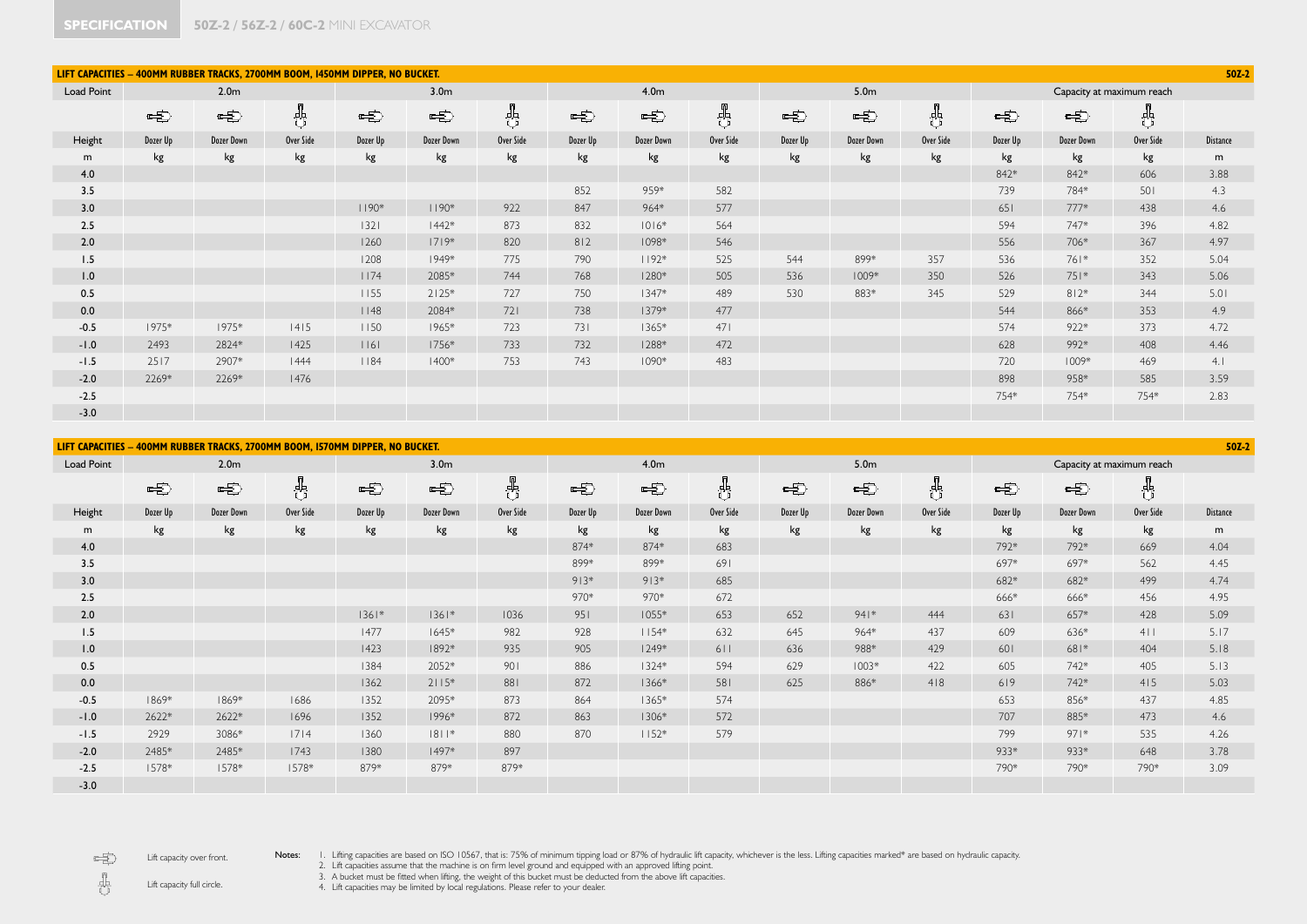|            | $50Z-2$<br>LIFT CAPACITIES - 400MM RUBBER TRACKS, 2700MM BOOM, 1450MM DIPPER, NO BUCKET. |                   |           |          |                  |           |          |                  |           |          |                   |           |               |                   |                           |                 |
|------------|------------------------------------------------------------------------------------------|-------------------|-----------|----------|------------------|-----------|----------|------------------|-----------|----------|-------------------|-----------|---------------|-------------------|---------------------------|-----------------|
| Load Point |                                                                                          | 2.0 <sub>m</sub>  |           |          | 3.0 <sub>m</sub> |           |          | 4.0 <sub>m</sub> |           |          | 5.0 <sub>m</sub>  |           |               |                   | Capacity at maximum reach |                 |
|            | 电                                                                                        | 中                 | ᆥ         | 中        | 中                | 8         | 中        | 中                | 횳         | 中        | 中                 | g<br>공    | $\frac{1}{2}$ | 中                 | ╬                         |                 |
| Height     | Dozer Up                                                                                 | <b>Dozer Down</b> | Over Side | Dozer Up | Dozer Down       | Over Side | Dozer Up | Dozer Down       | Over Side | Dozer Up | <b>Dozer Down</b> | Over Side | Dozer Up      | <b>Dozer Down</b> | Over Side                 | <b>Distance</b> |
| m          | kg                                                                                       | kg                | kg        | kg       | kg               | kg        | kg       | kg               | kg        | kg       | kg                | kg        | kg            | kg                | kg                        | m               |
| 4.0        |                                                                                          |                   |           |          |                  |           |          |                  |           |          |                   |           | 842*          | 842*              | 606                       | 3.88            |
| 3.5        |                                                                                          |                   |           |          |                  |           | 852      | 959*             | 582       |          |                   |           | 739           | 784*              | 501                       | 4.3             |
| 3.0        |                                                                                          |                   |           | $1190*$  | $1190*$          | 922       | 847      | 964*             | 577       |          |                   |           | 651           | $777*$            | 438                       | 4.6             |
| 2.5        |                                                                                          |                   |           | $1321$   | $1442*$          | 873       | 832      | $1016*$          | 564       |          |                   |           | 594           | 747*              | 396                       | 4.82            |
| 2.0        |                                                                                          |                   |           | 1260     | $1719*$          | 820       | 812      | 1098*            | 546       |          |                   |           | 556           | 706*              | 367                       | 4.97            |
| 1.5        |                                                                                          |                   |           | 1208     | 1949*            | 775       | 790      | $1192*$          | 525       | 544      | 899*              | 357       | 536           | 761*              | 352                       | 5.04            |
| 1.0        |                                                                                          |                   |           | 1174     | 2085*            | 744       | 768      | 1280*            | 505       | 536      | $1009*$           | 350       | 526           | 751*              | 343                       | 5.06            |
| 0.5        |                                                                                          |                   |           | 1155     | $2125*$          | 727       | 750      | $1347*$          | 489       | 530      | 883*              | 345       | 529           | $812*$            | 344                       | 5.01            |
| 0.0        |                                                                                          |                   |           | 1148     | 2084*            | 721       | 738      | 1379*            | 477       |          |                   |           | 544           | 866*              | 353                       | 4.9             |
| $-0.5$     | 1975*                                                                                    | 1975*             | 4 5       | 1150     | 1965*            | 723       | 731      | $1365*$          | 471       |          |                   |           | 574           | $922*$            | 373                       | 4.72            |
| $-1.0$     | 2493                                                                                     | 2824*             | 1425      | 16       | 1756*            | 733       | 732      | 1288*            | 472       |          |                   |           | 628           | 992*              | 408                       | 4.46            |
| $-1.5$     | 2517                                                                                     | 2907*             | 1444      | 1184     | $1400*$          | 753       | 743      | $1090*$          | 483       |          |                   |           | 720           | $1009*$           | 469                       | 4.1             |
| $-2.0$     | 2269*                                                                                    | 2269*             | 1476      |          |                  |           |          |                  |           |          |                   |           | 898           | 958*              | 585                       | 3.59            |
| $-2.5$     |                                                                                          |                   |           |          |                  |           |          |                  |           |          |                   |           | 754*          | 754*              | 754*                      | 2.83            |
| $-3.0$     |                                                                                          |                   |           |          |                  |           |          |                  |           |          |                   |           |               |                   |                           |                 |

|            |          |                  | LIFT CAPACITIES - 400MM RUBBER TRACKS, 2700MM BOOM, I570MM DIPPER, NO BUCKET. |          |                  |           |          |                   |           |          |                  |           |          |                   |                           | $50Z-2$         |
|------------|----------|------------------|-------------------------------------------------------------------------------|----------|------------------|-----------|----------|-------------------|-----------|----------|------------------|-----------|----------|-------------------|---------------------------|-----------------|
| Load Point |          | 2.0 <sub>m</sub> |                                                                               |          | 3.0 <sub>m</sub> |           |          | 4.0 <sub>m</sub>  |           |          | 5.0 <sub>m</sub> |           |          |                   | Capacity at maximum reach |                 |
|            | 电        | 电                | 帇                                                                             | 电        | 电                | €         | 电        | 电                 | 齿         | 电        | 电                | 齿         | 电        | 电                 | 쁑                         |                 |
| Height     | Dozer Up | Dozer Down       | Over Side                                                                     | Dozer Up | Dozer Down       | Over Side | Dozer Up | <b>Dozer Down</b> | Over Side | Dozer Up | Dozer Down       | Over Side | Dozer Up | <b>Dozer Down</b> | Over Side                 | <b>Distance</b> |
| m          | kg       | kg               | kg                                                                            | kg       | kg               | kg        | kg       | kg                | kg        | kg       | kg               | kg        | kg       | kg                | kg                        | m               |
| 4.0        |          |                  |                                                                               |          |                  |           | 874*     | 874*              | 683       |          |                  |           | 792*     | 792*              | 669                       | 4.04            |
| 3.5        |          |                  |                                                                               |          |                  |           | 899*     | 899*              | 691       |          |                  |           | 697*     | 697*              | 562                       | 4.45            |
| 3.0        |          |                  |                                                                               |          |                  |           | $913*$   | $913*$            | 685       |          |                  |           | 682*     | 682*              | 499                       | 4.74            |
| 2.5        |          |                  |                                                                               |          |                  |           | 970*     | 970*              | 672       |          |                  |           | 666*     | 666*              | 456                       | 4.95            |
| 2.0        |          |                  |                                                                               | $1361*$  | $1361*$          | 1036      | 951      | $1055*$           | 653       | 652      | $941*$           | 444       | 631      | 657*              | 428                       | 5.09            |
| 1.5        |          |                  |                                                                               | 1477     | $1645*$          | 982       | 928      | $1154*$           | 632       | 645      | 964*             | 437       | 609      | 636*              | $4$                       | 5.17            |
| 1.0        |          |                  |                                                                               | 1423     | 1892*            | 935       | 905      | $1249*$           | 611       | 636      | 988*             | 429       | 601      | 681*              | 404                       | 5.18            |
| 0.5        |          |                  |                                                                               | 1384     | 2052*            | 901       | 886      | $1324*$           | 594       | 629      | $1003*$          | 422       | 605      | 742*              | 405                       | 5.13            |
| 0.0        |          |                  |                                                                               | 1362     | $2115*$          | 881       | 872      | 1366*             | 581       | 625      | 886*             | 418       | 619      | 742*              | 415                       | 5.03            |
| $-0.5$     | 1869*    | 1869*            | 1686                                                                          | 1352     | 2095*            | 873       | 864      | $1365*$           | 574       |          |                  |           | 653      | 856*              | 437                       | 4.85            |
| $-1.0$     | 2622*    | 2622*            | 1696                                                                          | 1352     | 1996*            | 872       | 863      | 1306*             | 572       |          |                  |           | 707      | 885*              | 473                       | 4.6             |
| $-1.5$     | 2929     | 3086*            | 7 4                                                                           | 1360     | $ 8 1$ *         | 880       | 870      | $1152*$           | 579       |          |                  |           | 799      | $971*$            | 535                       | 4.26            |
| $-2.0$     | 2485*    | 2485*            | 1743                                                                          | 1380     | 1497*            | 897       |          |                   |           |          |                  |           | 933*     | 933*              | 648                       | 3.78            |
| $-2.5$     | 1578*    | 1578*            | 1578*                                                                         | 879*     | 879*             | 879*      |          |                   |           |          |                  |           | 790*     | 790*              | 790*                      | 3.09            |
| $-3.0$     |          |                  |                                                                               |          |                  |           |          |                   |           |          |                  |           |          |                   |                           |                 |

电 Lift capacity over front. Notes: I. Lifting capacities are based on ISO 10567, that is: 75% of minimum tipping load or 87% of hydraulic lift capacity, whichever is the less. Lifting capacities marked\* are based on hydraulic capacity.<br>2. Lift capaci

 $\mathbf{g}% =\mathbf{G}+\mathbf{G}+\mathbf{G}+\mathbf{G}+\mathbf{G}+\mathbf{G}+\mathbf{G}+\mathbf{G}+\mathbf{G}+\mathbf{G}+\mathbf{G}+\mathbf{G}+\mathbf{G}+\mathbf{G}+\mathbf{G}+\mathbf{G}+\mathbf{G}+\mathbf{G}+\mathbf{G}+\mathbf{G}+\mathbf{G}+\mathbf{G}+\mathbf{G}+\mathbf{G}+\mathbf{G}+\mathbf{G}+\mathbf{G}+\mathbf{G}+\mathbf{G}+\mathbf{G}+\mathbf{G}+\mathbf{G}+\mathbf{G}+\mathbf{G}+\mathbf{G}+\mathbf$ Lift capacity full circle.

4. Lift capacities may be limited by local regulations. Please refer to your dealer.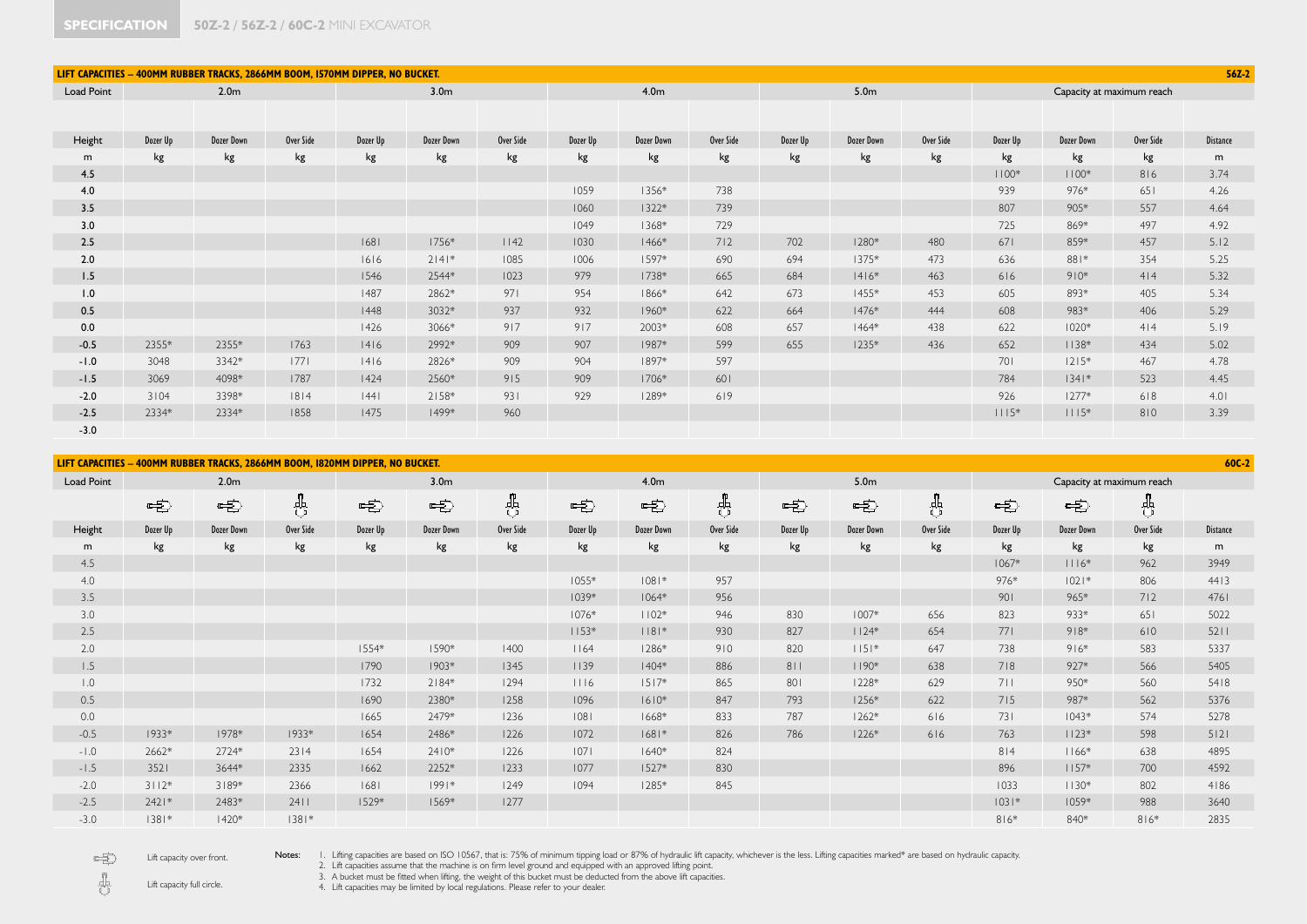| LIFT CAPACITIES - 400MM RUBBER TRACKS, 2866MM BOOM, I570MM DIPPER, NO BUCKET. |                  |            |           |                  |                   |           |                  |                   |           |                  |            |           |                           |                   | $56Z-2$   |                 |
|-------------------------------------------------------------------------------|------------------|------------|-----------|------------------|-------------------|-----------|------------------|-------------------|-----------|------------------|------------|-----------|---------------------------|-------------------|-----------|-----------------|
| <b>Load Point</b>                                                             | 2.0 <sub>m</sub> |            |           | 3.0 <sub>m</sub> |                   |           | 4.0 <sub>m</sub> |                   |           | 5.0 <sub>m</sub> |            |           | Capacity at maximum reach |                   |           |                 |
|                                                                               |                  |            |           |                  |                   |           |                  |                   |           |                  |            |           |                           |                   |           |                 |
|                                                                               |                  |            |           |                  |                   |           |                  |                   |           |                  |            |           |                           |                   |           |                 |
| Height                                                                        | Dozer Up         | Dozer Down | Over Side | Dozer Up         | <b>Dozer Down</b> | Over Side | Dozer Up         | <b>Dozer Down</b> | Over Side | Dozer Up         | Dozer Down | Over Side | Dozer Up                  | <b>Dozer Down</b> | Over Side | <b>Distance</b> |
| m                                                                             | kg               | kg         | kg        | kg               | kg                | kg        | kg               | kg                | kg        | kg               | kg         | kg        | kg                        | kg                | kg        | m               |
| 4.5                                                                           |                  |            |           |                  |                   |           |                  |                   |           |                  |            |           | $1100*$                   | $1100*$           | 816       | 3.74            |
| 4.0                                                                           |                  |            |           |                  |                   |           | 1059             | 1356*             | 738       |                  |            |           | 939                       | 976*              | 651       | 4.26            |
| 3.5                                                                           |                  |            |           |                  |                   |           | 1060             | $1322*$           | 739       |                  |            |           | 807                       | 905*              | 557       | 4.64            |
| 3.0                                                                           |                  |            |           |                  |                   |           | 1049             | 1368*             | 729       |                  |            |           | 725                       | 869*              | 497       | 4.92            |
| 2.5                                                                           |                  |            |           | 1681             | 1756*             | 1142      | 1030             | $1466*$           | 712       | 702              | $1280*$    | 480       | 671                       | 859*              | 457       | 5.12            |
| 2.0                                                                           |                  |            |           | 1616             | $2 4 $ *          | 1085      | 1006             | 1597*             | 690       | 694              | $1375*$    | 473       | 636                       | 881*              | 354       | 5.25            |
| 1.5                                                                           |                  |            |           | 1546             | 2544*             | 1023      | 979              | 1738*             | 665       | 684              | $1416*$    | 463       | 616                       | $910*$            | 414       | 5.32            |
| 1.0                                                                           |                  |            |           | 1487             | 2862*             | 971       | 954              | 1866*             | 642       | 673              | $1455*$    | 453       | 605                       | 893*              | 405       | 5.34            |
| 0.5                                                                           |                  |            |           | 1448             | 3032*             | 937       | 932              | $1960*$           | 622       | 664              | $1476*$    | 444       | 608                       | 983*              | 406       | 5.29            |
| 0.0                                                                           |                  |            |           | 1426             | 3066*             | 917       | 917              | 2003*             | 608       | 657              | $1464*$    | 438       | 622                       | $1020*$           | 4 4       | 5.19            |
| $-0.5$                                                                        | 2355*            | 2355*      | 1763      | 4 6              | 2992*             | 909       | 907              | 1987*             | 599       | 655              | $1235*$    | 436       | 652                       | $1138*$           | 434       | 5.02            |
| $-1.0$                                                                        | 3048             | 3342*      | 1771      | 4 6              | 2826*             | 909       | 904              | 1897*             | 597       |                  |            |           | 701                       | $1215*$           | 467       | 4.78            |
| $-1.5$                                                                        | 3069             | 4098*      | 1787      | 1424             | 2560*             | 915       | 909              | $1706*$           | 601       |                  |            |           | 784                       | $ 34 $ *          | 523       | 4.45            |
| $-2.0$                                                                        | 3104             | 3398*      | 8 4       | 44               | 2158*             | 931       | 929              | $1289*$           | 619       |                  |            |           | 926                       | $1277*$           | 618       | 4.01            |
| $-2.5$                                                                        | 2334*            | 2334*      | 1858      | 1475             | 1499*             | 960       |                  |                   |           |                  |            |           | $1115*$                   | $1115*$           | 810       | 3.39            |
| $-3.0$                                                                        |                  |            |           |                  |                   |           |                  |                   |           |                  |            |           |                           |                   |           |                 |
|                                                                               |                  |            |           |                  |                   |           |                  |                   |           |                  |            |           |                           |                   |           |                 |

**LIFT CAPACITIES – 400MM RUBBER TRACKS, 2866MM BOOM, 1820MM DIPPER, NO BUCKET. 60C-2** Load Point 2.0m 3.0m 4.0m 5.0m Capacity at maximum reach  $\frac{1}{C}$  $\frac{1}{\sqrt{2}}$  $\frac{1}{\sqrt{2}}$  $\frac{1}{C}$  $\frac{1}{\sigma}$ 电 电 电 电 电 电 电 电 电 电 Height Dozer Up Dozer Down Over Side Dozer Up Dozer Down Over Side Dozer Up Dozer Down Over Side Dozer Up Dozer Down Over Side Dozer Up Dozer Down Over Side Distance m kg kg kg kg kg kg kg kg kg kg kg kg kg kg kg m 4.5 1067\* 1116\* 962 3949 4.0 1055\* 1081\* 957 976\* 1021\* 806 4413 3.5 1039\* 1064\* 956 901 965\* 712 4761 3.0 1076\* 1102\* 946 830 1007\* 656 823 933\* 651 5022 2.5 1153\* 1181\* 930 827 1124\* 654 771 918\* 610 5211 2.0 1554\* 1590\* 1400 1164 1286\* 910 820 1151\* 647 738 916\* 583 5337 1.5 1790 1903\* 1345 1139 1404\* 886 811 1190\* 638 718 927\* 566 5405 1.0 1732 2184\* 1294 1116 1517\* 865 801 1228\* 629 711 950\* 560 5418 0.5 1690 2380\* 1258 1096 1610\* 847 793 1256\* 622 715 987\* 562 5376 0.0 1665 2479\* 1236 1081 1668\* 833 787 1262\* 616 731 1043\* 574 5278 -0.5 1933\* 1978\* 1933\* 1654 2486\* 1226 1072 1681\* 826 786 1226\* 616 763 1123\* 598 5121 -1.0 2662\* 2724\* 2314 1654 2410\* 1226 1071 1640\* 824 814 1166\* 638 4895 -1.5 3521 3644\* 2335 1662 2252\* 1233 1077 1527\* 830 896 1 896 1157\* 700 4592 -2.0 3112\* 3189\* 2366 1681 1991\* 1249 1094 1285\* 845 1033 1130\* 802 4186 -2.5 2421\* 2483\* 2411 1529\* 1569\* 1277 1031\* 1059\* 988 3640 -3.0 1381\* 1420\* 1381\* 816\* 840\* 816\* 2835

 $\Rightarrow$  $\frac{1}{\sqrt{2}}$ 

Lift capacity over front. Lift capacity full circle.

Notes: I. Lifting capacities are based on ISO 10567, that is: 75% of minimum tipping load or 87% of hydraulic lift capacity, whichever is the less. Lifting capacities marked\* are based on hydraulic capacity.

2. Lift capacities assume that the machine is on firm level ground and equipped with an approved lifting point.

3. A bucket must be fitted when lifting, the weight of this bucket must be deducted from the above lift capacities.

4. Lift capacities may be limited by local regulations. Please refer to your dealer.